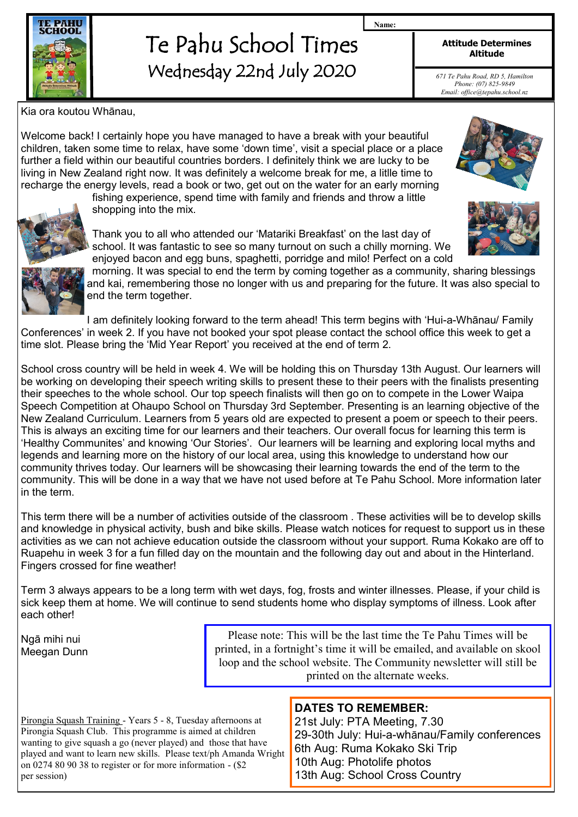

# Te Pahu School Times Wednesday 22nd July 2020

**Attitude Determines Altitude**

**Name:**

*671 Te Pahu Road, RD 5, Hamilton Phone: (07) 825-9849 Email: office@tepahu.school.nz*

Kia ora koutou Whānau,

Welcome back! I certainly hope you have managed to have a break with your beautiful children, taken some time to relax, have some 'down time', visit a special place or a place further a field within our beautiful countries borders. I definitely think we are lucky to be living in New Zealand right now. It was definitely a welcome break for me, a litlle time to recharge the energy levels, read a book or two, get out on the water for an early morning

fishing experience, spend time with family and friends and throw a little shopping into the mix.



Thank you to all who attended our 'Matariki Breakfast' on the last day of school. It was fantastic to see so many turnout on such a chilly morning. We enjoyed bacon and egg buns, spaghetti, porridge and milo! Perfect on a cold



morning. It was special to end the term by coming together as a community, sharing blessings and kai, remembering those no longer with us and preparing for the future. It was also special to end the term together.

I am definitely looking forward to the term ahead! This term begins with 'Hui-a-Whānau/ Family Conferences' in week 2. If you have not booked your spot please contact the school office this week to get a time slot. Please bring the 'Mid Year Report' you received at the end of term 2.

School cross country will be held in week 4. We will be holding this on Thursday 13th August. Our learners will be working on developing their speech writing skills to present these to their peers with the finalists presenting their speeches to the whole school. Our top speech finalists will then go on to compete in the Lower Waipa Speech Competition at Ohaupo School on Thursday 3rd September. Presenting is an learning objective of the New Zealand Curriculum. Learners from 5 years old are expected to present a poem or speech to their peers. This is always an exciting time for our learners and their teachers. Our overall focus for learning this term is 'Healthy Communites' and knowing 'Our Stories'. Our learners will be learning and exploring local myths and legends and learning more on the history of our local area, using this knowledge to understand how our community thrives today. Our learners will be showcasing their learning towards the end of the term to the community. This will be done in a way that we have not used before at Te Pahu School. More information later in the term.

This term there will be a number of activities outside of the classroom . These activities will be to develop skills and knowledge in physical activity, bush and bike skills. Please watch notices for request to support us in these activities as we can not achieve education outside the classroom without your support. Ruma Kokako are off to Ruapehu in week 3 for a fun filled day on the mountain and the following day out and about in the Hinterland. Fingers crossed for fine weather!

Term 3 always appears to be a long term with wet days, fog, frosts and winter illnesses. Please, if your child is sick keep them at home. We will continue to send students home who display symptoms of illness. Look after each other!

Ngā mihi nui Meegan Dunn

Please note: This will be the last time the Te Pahu Times will be printed, in a fortnight's time it will be emailed, and available on skool loop and the school website. The Community newsletter will still be printed on the alternate weeks.

**DATES TO REMEMBER:**

Pirongia Squash Training - Years 5 - 8, Tuesday afternoons at Pirongia Squash Club. This programme is aimed at children wanting to give squash a go (never played) and those that have played and want to learn new skills. Please text/ph Amanda Wright on 0274 80 90 38 to register or for more information - (\$2 per session)

#### 21st July: PTA Meeting, 7.30 29-30th July: Hui-a-whānau/Family conferences 6th Aug: Ruma Kokako Ski Trip 10th Aug: Photolife photos 13th Aug: School Cross Country